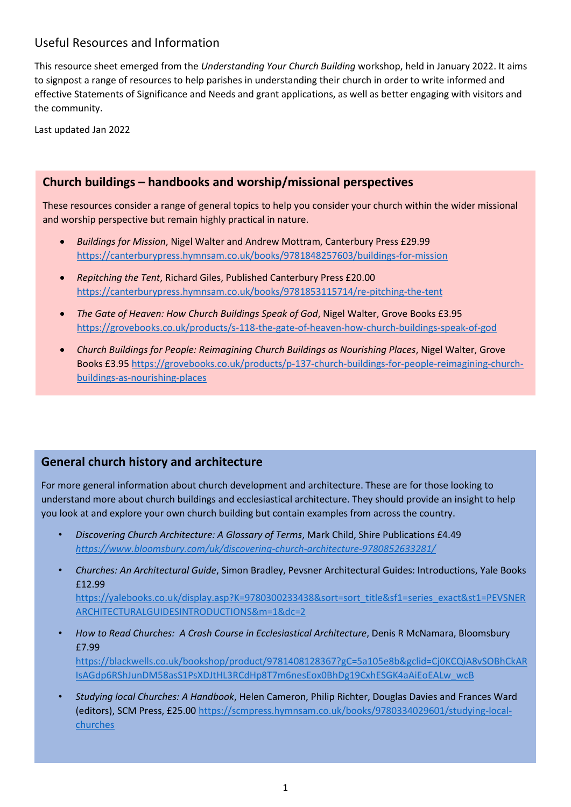# Useful Resources and Information

This resource sheet emerged from the *Understanding Your Church Building* workshop, held in January 2022. It aims to signpost a range of resources to help parishes in understanding their church in order to write informed and effective Statements of Significance and Needs and grant applications, as well as better engaging with visitors and the community.

Last updated Jan 2022

### **Church buildings – handbooks and worship/missional perspectives**

These resources consider a range of general topics to help you consider your church within the wider missional and worship perspective but remain highly practical in nature.

- *Buildings for Mission*, Nigel Walter and Andrew Mottram, Canterbury Press £29.99 <https://canterburypress.hymnsam.co.uk/books/9781848257603/buildings-for-mission>
- *Repitching the Tent*, Richard Giles, Published Canterbury Press £20.00 <https://canterburypress.hymnsam.co.uk/books/9781853115714/re-pitching-the-tent>
- *The Gate of Heaven: How Church Buildings Speak of God*, Nigel Walter, Grove Books £3.95 <https://grovebooks.co.uk/products/s-118-the-gate-of-heaven-how-church-buildings-speak-of-god>
- *Church Buildings for People: Reimagining Church Buildings as Nourishing Places*, Nigel Walter, Grove Books £3.95 [https://grovebooks.co.uk/products/p-137-church-buildings-for-people-reimagining-church](https://grovebooks.co.uk/products/p-137-church-buildings-for-people-reimagining-church-buildings-as-nourishing-places)[buildings-as-nourishing-places](https://grovebooks.co.uk/products/p-137-church-buildings-for-people-reimagining-church-buildings-as-nourishing-places)

## **General church history and architecture**

For more general information about church development and architecture. These are for those looking to understand more about church buildings and ecclesiastical architecture. They should provide an insight to help you look at and explore your own church building but contain examples from across the country.

- *Discovering Church Architecture: A Glossary of Terms*, Mark Child, Shire Publications £4.49 *<https://www.bloomsbury.com/uk/discovering-church-architecture-9780852633281/>*
- *Churches: An Architectural Guide*, Simon Bradley, Pevsner Architectural Guides: Introductions, Yale Books £12.99

[https://yalebooks.co.uk/display.asp?K=9780300233438&sort=sort\\_title&sf1=series\\_exact&st1=PEVSNER](https://yalebooks.co.uk/display.asp?K=9780300233438&sort=sort_title&sf1=series_exact&st1=PEVSNERARCHITECTURALGUIDESINTRODUCTIONS&m=1&dc=2) [ARCHITECTURALGUIDESINTRODUCTIONS&m=1&dc=2](https://yalebooks.co.uk/display.asp?K=9780300233438&sort=sort_title&sf1=series_exact&st1=PEVSNERARCHITECTURALGUIDESINTRODUCTIONS&m=1&dc=2)

• *How to Read Churches: A Crash Course in Ecclesiastical Architecture*, Denis R McNamara, Bloomsbury £7.99

[https://blackwells.co.uk/bookshop/product/9781408128367?gC=5a105e8b&gclid=Cj0KCQiA8vSOBhCkAR](https://blackwells.co.uk/bookshop/product/9781408128367?gC=5a105e8b&gclid=Cj0KCQiA8vSOBhCkARIsAGdp6RShJunDM58asS1PsXDJtHL3RCdHp8T7m6nesEox0BhDg19CxhESGK4aAiEoEALw_wcB) [IsAGdp6RShJunDM58asS1PsXDJtHL3RCdHp8T7m6nesEox0BhDg19CxhESGK4aAiEoEALw\\_wcB](https://blackwells.co.uk/bookshop/product/9781408128367?gC=5a105e8b&gclid=Cj0KCQiA8vSOBhCkARIsAGdp6RShJunDM58asS1PsXDJtHL3RCdHp8T7m6nesEox0BhDg19CxhESGK4aAiEoEALw_wcB)

• *Studying local Churches: A Handbook*, Helen Cameron, Philip Richter, Douglas Davies and Frances Ward (editors), SCM Press, £25.00 [https://scmpress.hymnsam.co.uk/books/9780334029601/studying-local](https://scmpress.hymnsam.co.uk/books/9780334029601/studying-local-churches)[churches](https://scmpress.hymnsam.co.uk/books/9780334029601/studying-local-churches)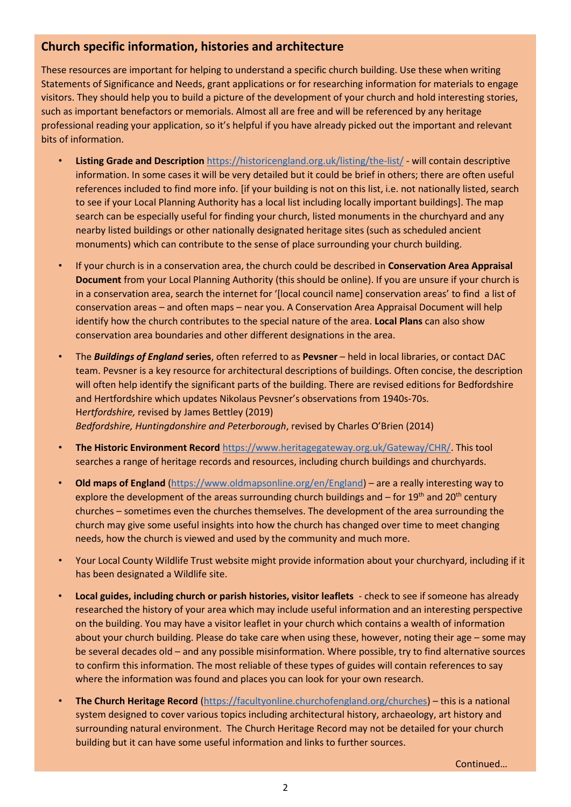## **Church specific information, histories and architecture**

These resources are important for helping to understand a specific church building. Use these when writing Statements of Significance and Needs, grant applications or for researching information for materials to engage visitors. They should help you to build a picture of the development of your church and hold interesting stories, such as important benefactors or memorials. Almost all are free and will be referenced by any heritage professional reading your application, so it's helpful if you have already picked out the important and relevant bits of information.

- **Listing Grade and Description** <https://historicengland.org.uk/listing/the-list/> will contain descriptive information. In some cases it will be very detailed but it could be brief in others; there are often useful references included to find more info. [if your building is not on this list, i.e. not nationally listed, search to see if your Local Planning Authority has a local list including locally important buildings]. The map search can be especially useful for finding your church, listed monuments in the churchyard and any nearby listed buildings or other nationally designated heritage sites (such as scheduled ancient monuments) which can contribute to the sense of place surrounding your church building.
- If your church is in a conservation area, the church could be described in **Conservation Area Appraisal Document** from your Local Planning Authority (this should be online). If you are unsure if your church is in a conservation area, search the internet for '[local council name] conservation areas' to find a list of conservation areas – and often maps – near you. A Conservation Area Appraisal Document will help identify how the church contributes to the special nature of the area. **Local Plans** can also show conservation area boundaries and other different designations in the area.
- The *Buildings of England* **series**, often referred to as **Pevsner** held in local libraries, or contact DAC team. Pevsner is a key resource for architectural descriptions of buildings. Often concise, the description will often help identify the significant parts of the building. There are revised editions for Bedfordshire and Hertfordshire which updates Nikolaus Pevsner's observations from 1940s-70s. H*ertfordshire,* revised by James Bettley (2019) *Bedfordshire, Huntingdonshire and Peterborough*, revised by Charles O'Brien (2014)
- **The Historic Environment Record** [https://www.heritagegateway.org.uk/Gateway/CHR/.](https://www.heritagegateway.org.uk/Gateway/CHR/) This tool searches a range of heritage records and resources, including church buildings and churchyards.
- **Old maps of England** [\(https://www.oldmapsonline.org/en/England\)](https://www.oldmapsonline.org/en/England) are a really interesting way to explore the development of the areas surrounding church buildings and – for  $19<sup>th</sup>$  and  $20<sup>th</sup>$  century churches – sometimes even the churches themselves. The development of the area surrounding the church may give some useful insights into how the church has changed over time to meet changing needs, how the church is viewed and used by the community and much more.
- Your Local County Wildlife Trust website might provide information about your churchyard, including if it has been designated a Wildlife site.
- **Local guides, including church or parish histories, visitor leaflets**  check to see if someone has already researched the history of your area which may include useful information and an interesting perspective on the building. You may have a visitor leaflet in your church which contains a wealth of information about your church building. Please do take care when using these, however, noting their age – some may be several decades old – and any possible misinformation. Where possible, try to find alternative sources to confirm this information. The most reliable of these types of guides will contain references to say where the information was found and places you can look for your own research.
- **The Church Heritage Record** [\(https://facultyonline.churchofengland.org/churches\)](https://facultyonline.churchofengland.org/churches) this is a national system designed to cover various topics including architectural history, archaeology, art history and surrounding natural environment. The Church Heritage Record may not be detailed for your church building but it can have some useful information and links to further sources.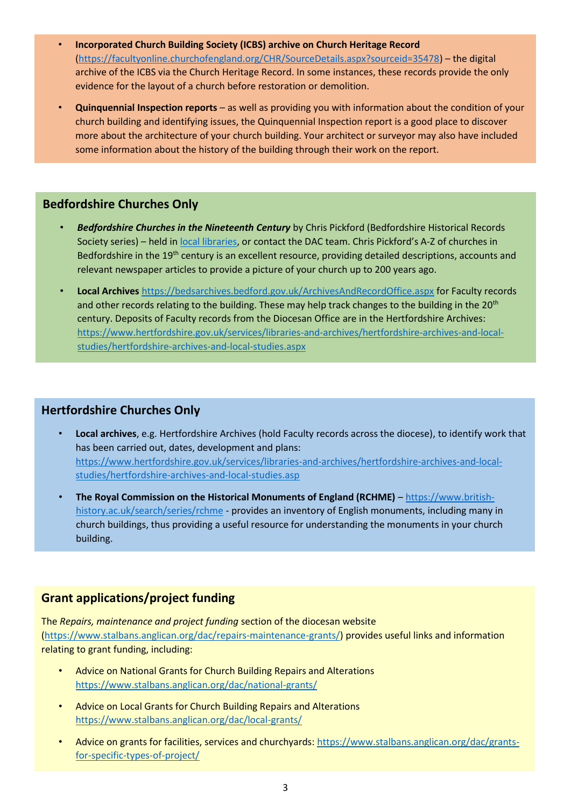- **Incorporated Church Building Society (ICBS) archive on Church Heritage Record** [\(https://facultyonline.churchofengland.org/CHR/SourceDetails.aspx?sourceid=35478\)](https://facultyonline.churchofengland.org/CHR/SourceDetails.aspx?sourceid=35478) – the digital archive of the ICBS via the Church Heritage Record. In some instances, these records provide the only evidence for the layout of a church before restoration or demolition.
- **Quinquennial Inspection reports**  as well as providing you with information about the condition of your church building and identifying issues, the Quinquennial Inspection report is a good place to discover more about the architecture of your church building. Your architect or surveyor may also have included some information about the history of the building through their work on the report.

#### **Bedfordshire Churches Only**

- *Bedfordshire Churches in the Nineteenth Century* by Chris Pickford (Bedfordshire Historical Records Society series) – held in [local libraries,](https://beds-arena.culturalservices.net/web/arena) or contact the DAC team. Chris Pickford's A-Z of churches in Bedfordshire in the 19<sup>th</sup> century is an excellent resource, providing detailed descriptions, accounts and relevant newspaper articles to provide a picture of your church up to 200 years ago.
- **Local Archives** <https://bedsarchives.bedford.gov.uk/ArchivesAndRecordOffice.aspx> for Faculty records and other records relating to the building. These may help track changes to the building in the 20<sup>th</sup> century. Deposits of Faculty records from the Diocesan Office are in the Hertfordshire Archives: [https://www.hertfordshire.gov.uk/services/libraries-and-archives/hertfordshire-archives-and-local](https://www.hertfordshire.gov.uk/services/libraries-and-archives/hertfordshire-archives-and-local-studies/hertfordshire-archives-and-local-studies.aspx)[studies/hertfordshire-archives-and-local-studies.aspx](https://www.hertfordshire.gov.uk/services/libraries-and-archives/hertfordshire-archives-and-local-studies/hertfordshire-archives-and-local-studies.aspx)

## **Hertfordshire Churches Only**

- **Local archives**, e.g. Hertfordshire Archives (hold Faculty records across the diocese), to identify work that has been carried out, dates, development and plans: [https://www.hertfordshire.gov.uk/services/libraries-and-archives/hertfordshire-archives-and-local](https://www.hertfordshire.gov.uk/services/libraries-and-archives/hertfordshire-archives-and-local-studies/hertfordshire-archives-and-local-studies.asp)[studies/hertfordshire-archives-and-local-studies.asp](https://www.hertfordshire.gov.uk/services/libraries-and-archives/hertfordshire-archives-and-local-studies/hertfordshire-archives-and-local-studies.asp)
- **The Royal Commission on the Historical Monuments of England (RCHME)** [https://www.british](https://www.british-history.ac.uk/search/series/rchme)[history.ac.uk/search/series/rchme](https://www.british-history.ac.uk/search/series/rchme) - provides an inventory of English monuments, including many in church buildings, thus providing a useful resource for understanding the monuments in your church building.

#### **Grant applications/project funding**

The *Repairs, maintenance and project funding* section of the diocesan website [\(https://www.stalbans.anglican.org/dac/repairs-maintenance-grants/\)](https://www.stalbans.anglican.org/dac/repairs-maintenance-grants/) provides useful links and information relating to grant funding, including:

- Advice on National Grants for Church Building Repairs and Alterations <https://www.stalbans.anglican.org/dac/national-grants/>
- Advice on Local Grants for Church Building Repairs and Alterations <https://www.stalbans.anglican.org/dac/local-grants/>
- Advice on grants for facilities, services and churchyards[: https://www.stalbans.anglican.org/dac/grants](https://www.stalbans.anglican.org/dac/grants-for-specific-types-of-project/)[for-specific-types-of-project/](https://www.stalbans.anglican.org/dac/grants-for-specific-types-of-project/)